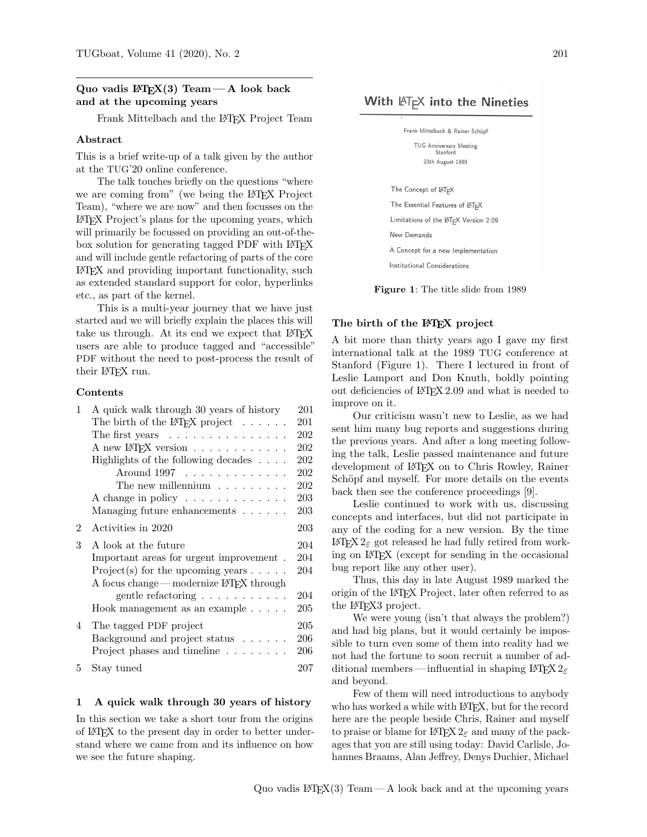## Quo vadis  $\mathbb{F}T_FX(3)$  Team — A look back and at the upcoming years

Frank Mittelbach and the L<sup>A</sup>TEX Project Team

## Abstract

This is a brief write-up of a talk given by the author at the TUG'20 online conference.

The talk touches briefly on the questions "where we are coming from" (we being the L<sup>AT</sup>FX Project Team), "where we are now" and then focusses on the L<sup>A</sup>TEX Project's plans for the upcoming years, which will primarily be focussed on providing an out-of-thebox solution for generating tagged PDF with LAT<sub>EX</sub> and will include gentle refactoring of parts of the core L<sup>A</sup>TEX and providing important functionality, such as extended standard support for color, hyperlinks etc., as part of the kernel.

This is a multi-year journey that we have just started and we will briefly explain the places this will take us through. At its end we expect that LATEX users are able to produce tagged and "accessible" PDF without the need to post-process the result of their L<sup>AT</sup>EX run.

#### Contents

| $\mathbf{1}$ | A quick walk through 30 years of history                    | 201 |
|--------------|-------------------------------------------------------------|-----|
|              | The birth of the LAT <sub>F</sub> X project $\ldots \ldots$ | 201 |
|              | The first years $\dots \dots \dots \dots \dots$             | 202 |
|              | A new L <sup>A</sup> T <sub>F</sub> X version               | 202 |
|              | Highlights of the following decades $\ldots$ .              | 202 |
|              | Around 1997                                                 | 202 |
|              | The new millennium $\ldots \ldots \ldots$                   | 202 |
|              | A change in policy                                          | 203 |
|              | Managing future enhancements $\ldots \ldots$                | 203 |
| 2            | Activities in 2020                                          | 203 |
| 3            | A look at the future                                        | 204 |
|              | Important areas for urgent improvement.                     | 204 |
|              | $Project(s)$ for the upcoming years $\ldots$ .              | 204 |
|              | A focus change — modernize IATFX through                    |     |
|              | gentle refactoring $\ldots \ldots \ldots$                   | 204 |
|              | Hook management as an example $\ldots$ .                    | 205 |
| 4            | The tagged PDF project                                      | 205 |
|              | Background and project status $\ldots \ldots$               | 206 |
|              | Project phases and timeline                                 | 206 |
| 5            | Stay tuned                                                  | 207 |

#### 1 A quick walk through 30 years of history

In this section we take a short tour from the origins of L<sup>A</sup>TEX to the present day in order to better understand where we came from and its influence on how we see the future shaping.

# With  $\mathbb{A}T_FX$  into the Nineties



Figure 1: The title slide from 1989

#### The birth of the LAT<sub>E</sub>X project

A bit more than thirty years ago I gave my first international talk at the 1989 TUG conference at Stanford (Figure 1). There I lectured in front of Leslie Lamport and Don Knuth, boldly pointing out deficiencies of L<sup>A</sup>TEX 2.09 and what is needed to improve on it.

Our criticism wasn't new to Leslie, as we had sent him many bug reports and suggestions during the previous years. And after a long meeting following the talk, Leslie passed maintenance and future development of L<sup>A</sup>TEX on to Chris Rowley, Rainer Schöpf and myself. For more details on the events back then see the conference proceedings [9].

Leslie continued to work with us, discussing concepts and interfaces, but did not participate in any of the coding for a new version. By the time L<sup>A</sup>TEX 2ε got released he had fully retired from working on L<sup>A</sup>TEX (except for sending in the occasional bug report like any other user).

Thus, this day in late August 1989 marked the origin of the L<sup>A</sup>TEX Project, later often referred to as the L<sup>AT</sup>FX3 project.

We were young (isn't that always the problem?) and had big plans, but it would certainly be impossible to turn even some of them into reality had we not had the fortune to soon recruit a number of additional members—influential in shaping LATEX  $2\varepsilon$ and beyond.

Few of them will need introductions to anybody who has worked a while with LAT<sub>E</sub>X, but for the record here are the people beside Chris, Rainer and myself to praise or blame for  $\mathbb{H}\Gamma_{\mathbb{E}} X 2_{\varepsilon}$  and many of the packages that you are still using today: David Carlisle, Johannes Braams, Alan Jeffrey, Denys Duchier, Michael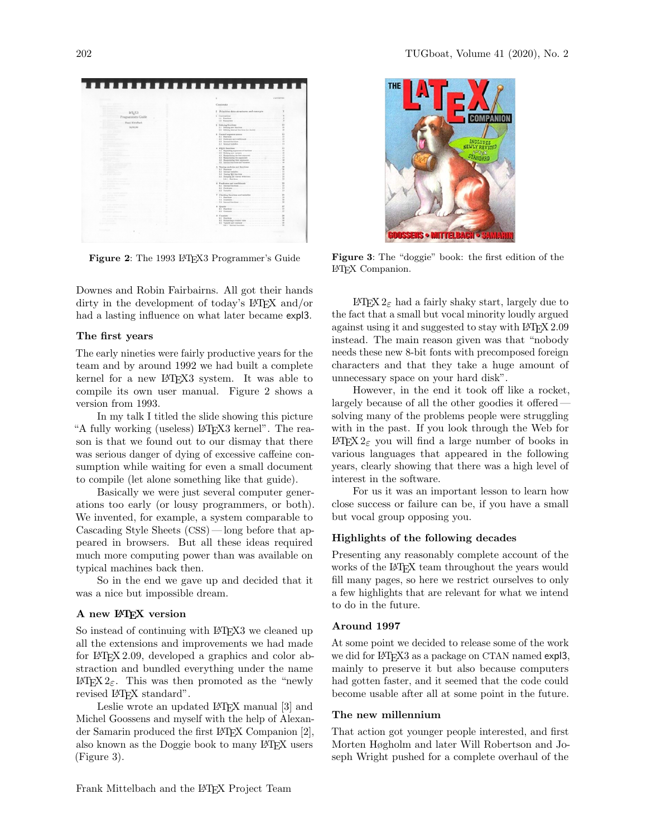

Figure 2: The 1993 LATFX3 Programmer's Guide

Downes and Robin Fairbairns. All got their hands dirty in the development of today's L<sup>A</sup>TEX and/or had a lasting influence on what later became expl3.

#### The first years

The early nineties were fairly productive years for the team and by around 1992 we had built a complete kernel for a new IATEX3 system. It was able to compile its own user manual. Figure 2 shows a version from 1993.

In my talk I titled the slide showing this picture "A fully working (useless) L<sup>A</sup>TEX3 kernel". The reason is that we found out to our dismay that there was serious danger of dying of excessive caffeine consumption while waiting for even a small document to compile (let alone something like that guide).

Basically we were just several computer generations too early (or lousy programmers, or both). We invented, for example, a system comparable to Cascading Style Sheets (CSS) — long before that appeared in browsers. But all these ideas required much more computing power than was available on typical machines back then.

So in the end we gave up and decided that it was a nice but impossible dream.

#### A new L<sup>AT</sup>FX version

So instead of continuing with LAT<sub>EX3</sub> we cleaned up all the extensions and improvements we had made for L<sup>A</sup>TEX 2.09, developed a graphics and color abstraction and bundled everything under the name LATFX 2<sub>ε</sub>. This was then promoted as the "newly" revised LAT<sub>F</sub>X standard".

Leslie wrote an updated LAT<sub>E</sub>X manual [3] and Michel Goossens and myself with the help of Alexander Samarin produced the first L<sup>A</sup>TEX Companion [2], also known as the Doggie book to many L<sup>A</sup>TEX users (Figure 3).



Figure 3: The "doggie" book: the first edition of the L<sup>A</sup>TEX Companion.

L<sup>A</sup>TEX 2ε had a fairly shaky start, largely due to the fact that a small but vocal minority loudly argued against using it and suggested to stay with LATEX 2.09 instead. The main reason given was that "nobody needs these new 8-bit fonts with precomposed foreign characters and that they take a huge amount of unnecessary space on your hard disk".

However, in the end it took off like a rocket, largely because of all the other goodies it offered solving many of the problems people were struggling with in the past. If you look through the Web for L<sup>A</sup>TEX 2ε you will find a large number of books in various languages that appeared in the following years, clearly showing that there was a high level of interest in the software.

For us it was an important lesson to learn how close success or failure can be, if you have a small but vocal group opposing you.

#### Highlights of the following decades

Presenting any reasonably complete account of the works of the LAT<sub>EX</sub> team throughout the years would fill many pages, so here we restrict ourselves to only a few highlights that are relevant for what we intend to do in the future.

#### Around 1997

At some point we decided to release some of the work we did for L<sup>AT</sup>EX<sub>3</sub> as a package on CTAN named expl<sub>3</sub>, mainly to preserve it but also because computers had gotten faster, and it seemed that the code could become usable after all at some point in the future.

### The new millennium

That action got younger people interested, and first Morten Høgholm and later Will Robertson and Joseph Wright pushed for a complete overhaul of the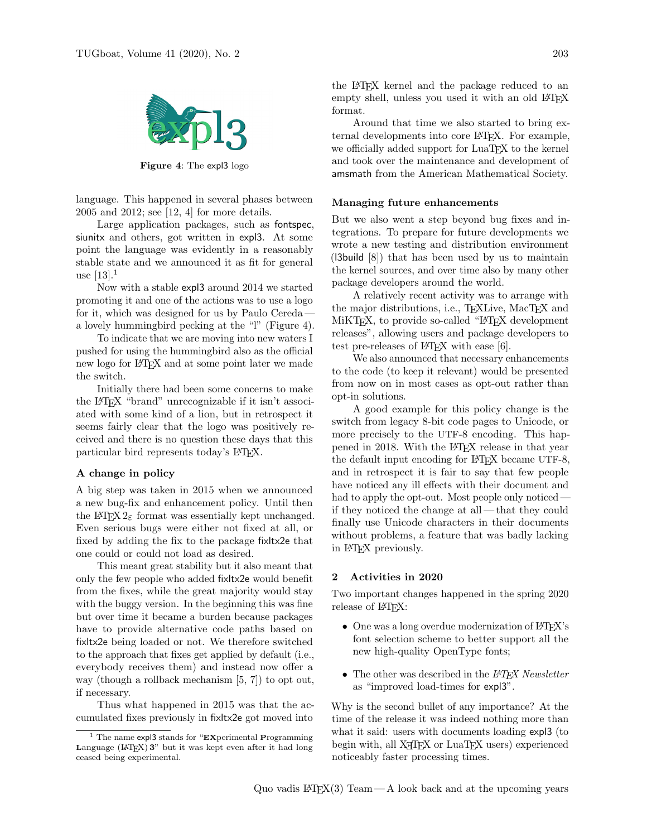

Figure 4: The expl3 logo

language. This happened in several phases between 2005 and 2012; see [12, 4] for more details.

Large application packages, such as fontspec, siunitx and others, got written in expl3. At some point the language was evidently in a reasonably stable state and we announced it as fit for general use  $[13]$ <sup>1</sup>

Now with a stable expl3 around 2014 we started promoting it and one of the actions was to use a logo for it, which was designed for us by Paulo Cereda a lovely hummingbird pecking at the "l" (Figure 4).

To indicate that we are moving into new waters I pushed for using the hummingbird also as the official new logo for L<sup>A</sup>TEX and at some point later we made the switch.

Initially there had been some concerns to make the L<sup>A</sup>TEX "brand" unrecognizable if it isn't associated with some kind of a lion, but in retrospect it seems fairly clear that the logo was positively received and there is no question these days that this particular bird represents today's LAT<sub>EX</sub>.

#### A change in policy

A big step was taken in 2015 when we announced a new bug-fix and enhancement policy. Until then the L<sup>A</sup>TEX  $2_{\epsilon}$  format was essentially kept unchanged. Even serious bugs were either not fixed at all, or fixed by adding the fix to the package fixltx2e that one could or could not load as desired.

This meant great stability but it also meant that only the few people who added fixltx2e would benefit from the fixes, while the great majority would stay with the buggy version. In the beginning this was fine but over time it became a burden because packages have to provide alternative code paths based on fixltx2e being loaded or not. We therefore switched to the approach that fixes get applied by default (i.e., everybody receives them) and instead now offer a way (though a rollback mechanism [5, 7]) to opt out, if necessary.

Thus what happened in 2015 was that the accumulated fixes previously in fixltx2e got moved into the L<sup>A</sup>TEX kernel and the package reduced to an empty shell, unless you used it with an old LATEX format.

Around that time we also started to bring external developments into core L<sup>A</sup>TEX. For example, we officially added support for LuaTEX to the kernel and took over the maintenance and development of amsmath from the American Mathematical Society.

#### Managing future enhancements

But we also went a step beyond bug fixes and integrations. To prepare for future developments we wrote a new testing and distribution environment (l3build [8]) that has been used by us to maintain the kernel sources, and over time also by many other package developers around the world.

A relatively recent activity was to arrange with the major distributions, i.e., TEXLive, MacTEX and MiKT<sub>F</sub>X, to provide so-called "LAT<sub>F</sub>X development releases", allowing users and package developers to test pre-releases of  $\mathbb{A}T$ FX with ease [6].

We also announced that necessary enhancements to the code (to keep it relevant) would be presented from now on in most cases as opt-out rather than opt-in solutions.

A good example for this policy change is the switch from legacy 8-bit code pages to Unicode, or more precisely to the UTF-8 encoding. This happened in 2018. With the LAT<sub>EX</sub> release in that year the default input encoding for LAT<sub>EX</sub> became UTF-8, and in retrospect it is fair to say that few people have noticed any ill effects with their document and had to apply the opt-out. Most people only noticed if they noticed the change at all— that they could finally use Unicode characters in their documents without problems, a feature that was badly lacking in L<sup>A</sup>TEX previously.

#### 2 Activities in 2020

Two important changes happened in the spring 2020 release of LAT<sub>EX</sub>:

- One was a long overdue modernization of LATEX's font selection scheme to better support all the new high-quality OpenType fonts;
- $\bullet$  The other was described in the  $\cancel{BTEX}$  Newsletter as "improved load-times for expl3".

Why is the second bullet of any importance? At the time of the release it was indeed nothing more than what it said: users with documents loading expl3 (to begin with, all X<sub>T</sub>T<sub>E</sub>X or LuaT<sub>E</sub>X users) experienced noticeably faster processing times.

<sup>&</sup>lt;sup>1</sup> The name expl3 stands for "EXperimental Programming Language  $(HTFX)$  3" but it was kept even after it had long ceased being experimental.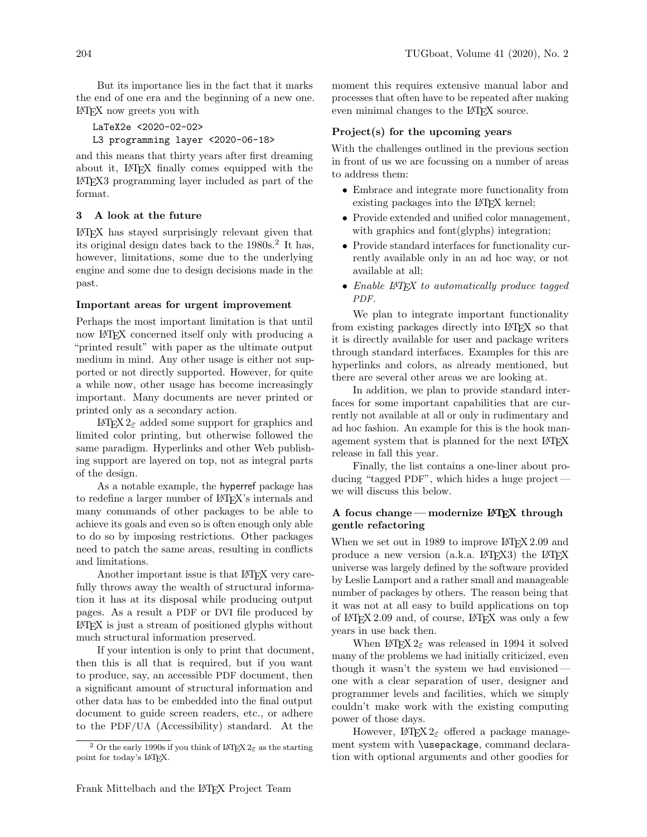But its importance lies in the fact that it marks the end of one era and the beginning of a new one. L<sup>A</sup>TEX now greets you with

LaTeX2e <2020-02-02> L3 programming layer <2020-06-18>

and this means that thirty years after first dreaming about it, L<sup>A</sup>TEX finally comes equipped with the L<sup>A</sup>TEX3 programming layer included as part of the format.

## 3 A look at the future

L<sup>A</sup>TEX has stayed surprisingly relevant given that its original design dates back to the 1980s.<sup>2</sup> It has, however, limitations, some due to the underlying engine and some due to design decisions made in the past.

## Important areas for urgent improvement

Perhaps the most important limitation is that until now LAT<sub>EX</sub> concerned itself only with producing a "printed result" with paper as the ultimate output medium in mind. Any other usage is either not supported or not directly supported. However, for quite a while now, other usage has become increasingly important. Many documents are never printed or printed only as a secondary action.

L<sup>A</sup>TEX 2ε added some support for graphics and limited color printing, but otherwise followed the same paradigm. Hyperlinks and other Web publishing support are layered on top, not as integral parts of the design.

As a notable example, the hyperref package has to redefine a larger number of LAT<sub>EX</sub>'s internals and many commands of other packages to be able to achieve its goals and even so is often enough only able to do so by imposing restrictions. Other packages need to patch the same areas, resulting in conflicts and limitations.

Another important issue is that LAT<sub>EX</sub> very carefully throws away the wealth of structural information it has at its disposal while producing output pages. As a result a PDF or DVI file produced by L<sup>A</sup>TEX is just a stream of positioned glyphs without much structural information preserved.

If your intention is only to print that document, then this is all that is required, but if you want to produce, say, an accessible PDF document, then a significant amount of structural information and other data has to be embedded into the final output document to guide screen readers, etc., or adhere to the PDF/UA (Accessibility) standard. At the

moment this requires extensive manual labor and processes that often have to be repeated after making even minimal changes to the L<sup>AT</sup>EX source.

## Project(s) for the upcoming years

With the challenges outlined in the previous section in front of us we are focussing on a number of areas to address them:

- Embrace and integrate more functionality from existing packages into the LAT<sub>EX</sub> kernel;
- Provide extended and unified color management, with graphics and font(glyphs) integration;
- Provide standard interfaces for functionality currently available only in an ad hoc way, or not available at all;
- Enable L<sup>A</sup>T<sub>F</sub>X to automatically produce tagged PDF.

We plan to integrate important functionality from existing packages directly into L<sup>A</sup>TEX so that it is directly available for user and package writers through standard interfaces. Examples for this are hyperlinks and colors, as already mentioned, but there are several other areas we are looking at.

In addition, we plan to provide standard interfaces for some important capabilities that are currently not available at all or only in rudimentary and ad hoc fashion. An example for this is the hook management system that is planned for the next LAT<sub>EX</sub> release in fall this year.

Finally, the list contains a one-liner about producing "tagged PDF", which hides a huge project we will discuss this below.

## A focus change—modernize  $\mathbb{F}T_FX$  through gentle refactoring

When we set out in 1989 to improve LAT<sub>EX</sub> 2.09 and produce a new version  $(a.k.a. IATFX3)$  the  $IATFX$ universe was largely defined by the software provided by Leslie Lamport and a rather small and manageable number of packages by others. The reason being that it was not at all easy to build applications on top of L<sup>A</sup>TEX 2.09 and, of course, L<sup>A</sup>TEX was only a few years in use back then.

When L<sup>AT</sup>FX  $2\varepsilon$  was released in 1994 it solved many of the problems we had initially criticized, even though it wasn't the system we had envisioned one with a clear separation of user, designer and programmer levels and facilities, which we simply couldn't make work with the existing computing power of those days.

However,  $\text{LATEX } 2_{\varepsilon}$  offered a package management system with \usepackage, command declaration with optional arguments and other goodies for

<sup>&</sup>lt;sup>2</sup> Or the early 1990s if you think of LATEX  $2\varepsilon$  as the starting point for today's LATFX.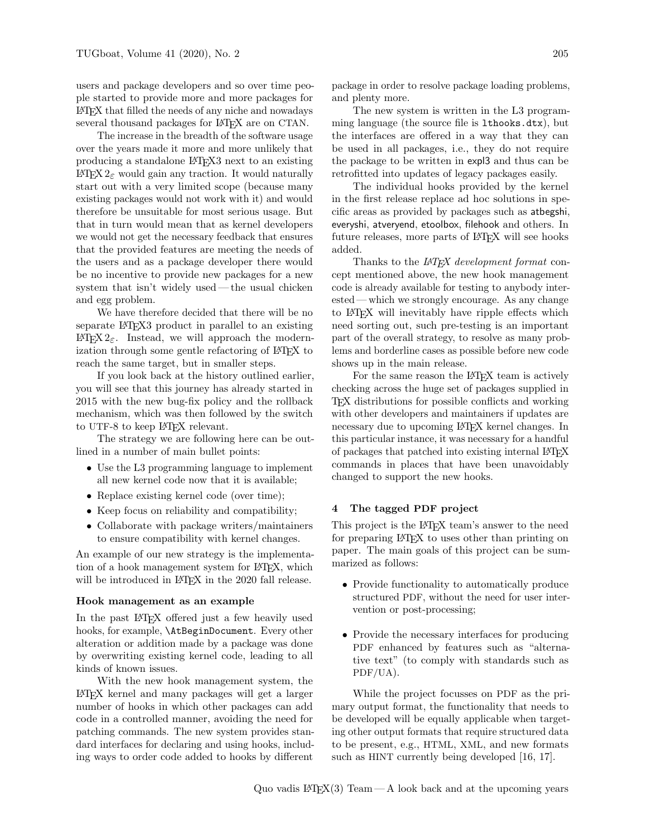users and package developers and so over time people started to provide more and more packages for L<sup>A</sup>TEX that filled the needs of any niche and nowadays several thousand packages for LAT<sub>EX</sub> are on CTAN.

The increase in the breadth of the software usage over the years made it more and more unlikely that producing a standalone L<sup>A</sup>TEX3 next to an existing L<sup>A</sup>TEX 2ε would gain any traction. It would naturally start out with a very limited scope (because many existing packages would not work with it) and would therefore be unsuitable for most serious usage. But that in turn would mean that as kernel developers we would not get the necessary feedback that ensures that the provided features are meeting the needs of the users and as a package developer there would be no incentive to provide new packages for a new system that isn't widely used— the usual chicken and egg problem.

We have therefore decided that there will be no separate L<sup>AT</sup>EX<sup>3</sup> product in parallel to an existing LAT<sub>E</sub>X 2<sub>ε</sub>. Instead, we will approach the modernization through some gentle refactoring of LAT<sub>EX</sub> to reach the same target, but in smaller steps.

If you look back at the history outlined earlier, you will see that this journey has already started in 2015 with the new bug-fix policy and the rollback mechanism, which was then followed by the switch to UTF-8 to keep L<sup>A</sup>TEX relevant.

The strategy we are following here can be outlined in a number of main bullet points:

- Use the L3 programming language to implement all new kernel code now that it is available;
- Replace existing kernel code (over time);
- Keep focus on reliability and compatibility;
- Collaborate with package writers/maintainers to ensure compatibility with kernel changes.

An example of our new strategy is the implementation of a hook management system for L<sup>A</sup>TEX, which will be introduced in LAT<sub>EX</sub> in the 2020 fall release.

## Hook management as an example

In the past IAT<sub>F</sub>X offered just a few heavily used hooks, for example, \AtBeginDocument. Every other alteration or addition made by a package was done by overwriting existing kernel code, leading to all kinds of known issues.

With the new hook management system, the L<sup>A</sup>TEX kernel and many packages will get a larger number of hooks in which other packages can add code in a controlled manner, avoiding the need for patching commands. The new system provides standard interfaces for declaring and using hooks, including ways to order code added to hooks by different

package in order to resolve package loading problems, and plenty more.

The new system is written in the L3 programming language (the source file is lthooks.dtx), but the interfaces are offered in a way that they can be used in all packages, i.e., they do not require the package to be written in expl3 and thus can be retrofitted into updates of legacy packages easily.

The individual hooks provided by the kernel in the first release replace ad hoc solutions in specific areas as provided by packages such as atbegshi, everyshi, atveryend, etoolbox, filehook and others. In future releases, more parts of LAT<sub>EX</sub> will see hooks added.

Thanks to the LAT<sub>E</sub>X development format concept mentioned above, the new hook management code is already available for testing to anybody interested — which we strongly encourage. As any change to L<sup>A</sup>TEX will inevitably have ripple effects which need sorting out, such pre-testing is an important part of the overall strategy, to resolve as many problems and borderline cases as possible before new code shows up in the main release.

For the same reason the LAT<sub>EX</sub> team is actively checking across the huge set of packages supplied in TEX distributions for possible conflicts and working with other developers and maintainers if updates are necessary due to upcoming LAT<sub>F</sub>X kernel changes. In this particular instance, it was necessary for a handful of packages that patched into existing internal L<sup>A</sup>TEX commands in places that have been unavoidably changed to support the new hooks.

## 4 The tagged PDF project

This project is the LAT<sub>EX</sub> team's answer to the need for preparing L<sup>A</sup>TEX to uses other than printing on paper. The main goals of this project can be summarized as follows:

- Provide functionality to automatically produce structured PDF, without the need for user intervention or post-processing;
- Provide the necessary interfaces for producing PDF enhanced by features such as "alternative text" (to comply with standards such as PDF/UA).

While the project focusses on PDF as the primary output format, the functionality that needs to be developed will be equally applicable when targeting other output formats that require structured data to be present, e.g., HTML, XML, and new formats such as HINT currently being developed [16, 17].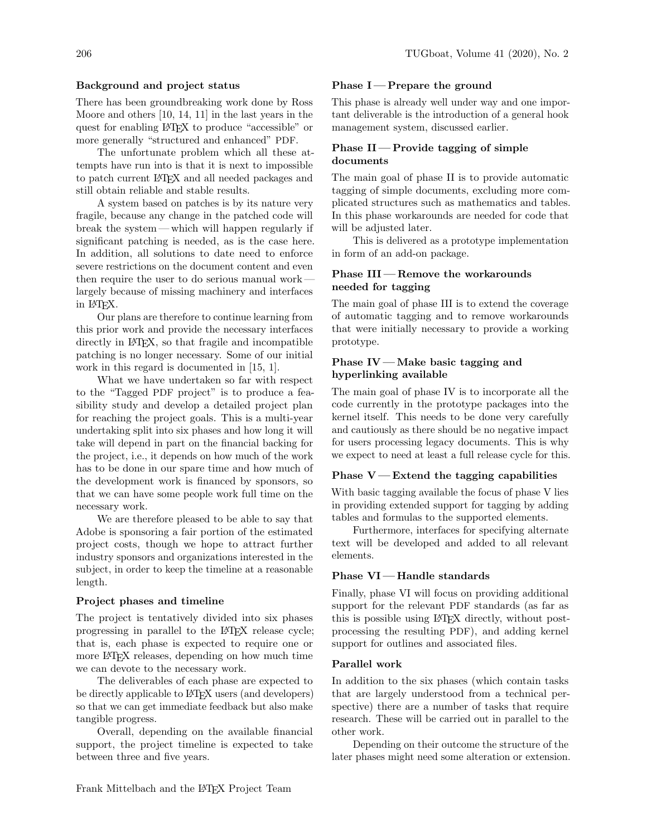## Background and project status

There has been groundbreaking work done by Ross Moore and others [10, 14, 11] in the last years in the quest for enabling L<sup>A</sup>TEX to produce "accessible" or more generally "structured and enhanced" PDF.

The unfortunate problem which all these attempts have run into is that it is next to impossible to patch current L<sup>A</sup>TEX and all needed packages and still obtain reliable and stable results.

A system based on patches is by its nature very fragile, because any change in the patched code will break the system— which will happen regularly if significant patching is needed, as is the case here. In addition, all solutions to date need to enforce severe restrictions on the document content and even then require the user to do serious manual work largely because of missing machinery and interfaces in L<sup>A</sup>TEX.

Our plans are therefore to continue learning from this prior work and provide the necessary interfaces directly in IAT<sub>E</sub>X, so that fragile and incompatible patching is no longer necessary. Some of our initial work in this regard is documented in [15, 1].

What we have undertaken so far with respect to the "Tagged PDF project" is to produce a feasibility study and develop a detailed project plan for reaching the project goals. This is a multi-year undertaking split into six phases and how long it will take will depend in part on the financial backing for the project, i.e., it depends on how much of the work has to be done in our spare time and how much of the development work is financed by sponsors, so that we can have some people work full time on the necessary work.

We are therefore pleased to be able to say that Adobe is sponsoring a fair portion of the estimated project costs, though we hope to attract further industry sponsors and organizations interested in the subject, in order to keep the timeline at a reasonable length.

#### Project phases and timeline

The project is tentatively divided into six phases progressing in parallel to the L<sup>A</sup>TEX release cycle; that is, each phase is expected to require one or more L<sup>A</sup>TEX releases, depending on how much time we can devote to the necessary work.

The deliverables of each phase are expected to be directly applicable to L<sup>A</sup>TEX users (and developers) so that we can get immediate feedback but also make tangible progress.

Overall, depending on the available financial support, the project timeline is expected to take between three and five years.

#### Phase  $I$  – Prepare the ground

This phase is already well under way and one important deliverable is the introduction of a general hook management system, discussed earlier.

## Phase  $II$  – Provide tagging of simple documents

The main goal of phase II is to provide automatic tagging of simple documents, excluding more complicated structures such as mathematics and tables. In this phase workarounds are needed for code that will be adjusted later.

This is delivered as a prototype implementation in form of an add-on package.

## Phase III — Remove the workarounds needed for tagging

The main goal of phase III is to extend the coverage of automatic tagging and to remove workarounds that were initially necessary to provide a working prototype.

## Phase IV — Make basic tagging and hyperlinking available

The main goal of phase IV is to incorporate all the code currently in the prototype packages into the kernel itself. This needs to be done very carefully and cautiously as there should be no negative impact for users processing legacy documents. This is why we expect to need at least a full release cycle for this.

## Phase  $V$  — Extend the tagging capabilities

With basic tagging available the focus of phase V lies in providing extended support for tagging by adding tables and formulas to the supported elements.

Furthermore, interfaces for specifying alternate text will be developed and added to all relevant elements.

## Phase VI — Handle standards

Finally, phase VI will focus on providing additional support for the relevant PDF standards (as far as this is possible using L<sup>A</sup>TEX directly, without postprocessing the resulting PDF), and adding kernel support for outlines and associated files.

#### Parallel work

In addition to the six phases (which contain tasks that are largely understood from a technical perspective) there are a number of tasks that require research. These will be carried out in parallel to the other work.

Depending on their outcome the structure of the later phases might need some alteration or extension.